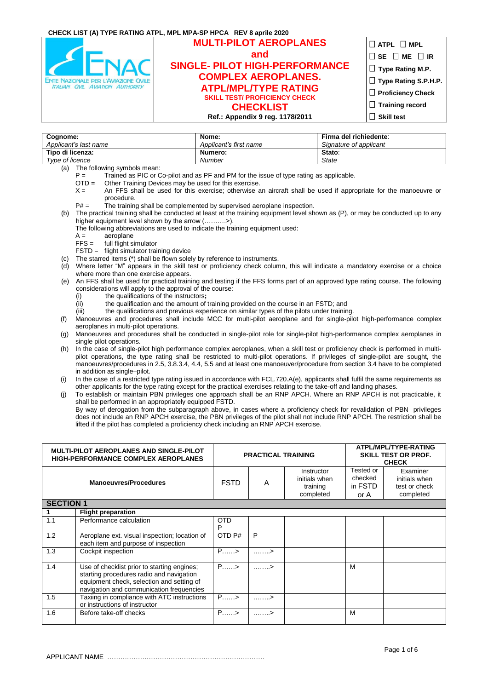|                                              | CHECK LIST (A) TYPE RATING ATPL, MPL MPA-SP HPCA REV 8 aprile 2020 |                               |
|----------------------------------------------|--------------------------------------------------------------------|-------------------------------|
|                                              | <b>MULTI-PILOT AEROPLANES</b>                                      | $\Box$ atpl $\Box$ mpl        |
|                                              | and                                                                | $\Box$ SE $\Box$ ME $\Box$ IR |
|                                              | <b>SINGLE- PILOT HIGH-PERFORMANCE</b>                              | $\Box$ Type Rating M.P.       |
| <b>ENTE NAZIONALE PER L'AVIAZIONE CIVILE</b> | <b>COMPLEX AEROPLANES.</b>                                         | □ Type Rating S.P.H.P.        |
| <b>ITALIAN CIVIL AVIATION AUTHORITY</b>      | <b>ATPL/MPL/TYPE RATING</b>                                        | $\Box$ Proficiency Check      |
|                                              | <b>SKILL TEST/ PROFICIENCY CHECK</b><br><b>CHECKLIST</b>           | $\Box$ Training record        |
|                                              | Ref.: Appendix 9 reg. 1178/2011                                    | $\Box$ Skill test             |

| Cognome:<br>Applicant's last name | Nome:<br>Applicant's first name | Firma del richiedente:<br>Signature of applicant |
|-----------------------------------|---------------------------------|--------------------------------------------------|
| Tipo di licenza:                  | Numero:                         | Stato:                                           |
| Type of licence                   | Number                          | <b>State</b>                                     |

(a) The following symbols mean:

- $P =$  Trained as PIC or Co-pilot and as PF and PM for the issue of type rating as applicable.<br>OTD = Other Training Devices may be used for this exercise
	- Other Training Devices may be used for this exercise.
- X = An FFS shall be used for this exercise; otherwise an aircraft shall be used if appropriate for the manoeuvre or procedure.
- $P# =$  The training shall be complemented by supervised aeroplane inspection.
- (b) The practical training shall be conducted at least at the training equipment level shown as (P), or may be conducted up to any higher equipment level shown by the arrow (..........>).
	- The following abbreviations are used to indicate the training equipment used:
	- $A =$  aeroplane
	- FFS = full flight simulator
	- FSTD = flight simulator training device
- The starred items (\*) shall be flown solely by reference to instruments.
- (d) Where letter "M" appears in the skill test or proficiency check column, this will indicate a mandatory exercise or a choice where more than one exercise appears.
- (e) An FFS shall be used for practical training and testing if the FFS forms part of an approved type rating course. The following considerations will apply to the approval of the course:
	- (i) the qualifications of the instructors**;**
	- $\langle \hat{i}i \rangle$  the qualification and the amount of training provided on the course in an FSTD; and
	- (iii) the qualifications and previous experience on similar types of the pilots under training.
- (f) Manoeuvres and procedures shall include MCC for multi-pilot aeroplane and for single-pilot high-performance complex aeroplanes in multi-pilot operations.
- (g) Manoeuvres and procedures shall be conducted in single-pilot role for single-pilot high-performance complex aeroplanes in single pilot operations.
- (h) In the case of single-pilot high performance complex aeroplanes, when a skill test or proficiency check is performed in multipilot operations, the type rating shall be restricted to multi-pilot operations. If privileges of single-pilot are sought, the manoeuvres/procedures in 2.5, 3.8.3.4, 4.4, 5.5 and at least one manoeuver/procedure from section 3.4 have to be completed in addition as single–pilot.
- (i) In the case of a restricted type rating issued in accordance with FCL.720.A(e), applicants shall fulfil the same requirements as other applicants for the type rating except for the practical exercises relating to the take-off and landing phases.
- (j) To establish or maintain PBN privileges one approach shall be an RNP APCH. Where an RNP APCH is not practicable, it shall be performed in an appropriately equipped FSTD.
- By way of derogation from the subparagraph above, in cases where a proficiency check for revalidation of PBN privileges does not include an RNP APCH exercise, the PBN privileges of the pilot shall not include RNP APCH. The restriction shall be lifted if the pilot has completed a proficiency check including an RNP APCH exercise.

|                  | <b>MULTI-PILOT AEROPLANES AND SINGLE-PILOT</b><br><b>HIGH-PERFORMANCE COMPLEX AEROPLANES</b>                                                                                     | <b>PRACTICAL TRAINING</b> |                   | ATPL/MPL/TYPE-RATING<br><b>SKILL TEST OR PROF.</b><br><b>CHECK</b> |                                         |                                                         |
|------------------|----------------------------------------------------------------------------------------------------------------------------------------------------------------------------------|---------------------------|-------------------|--------------------------------------------------------------------|-----------------------------------------|---------------------------------------------------------|
|                  | <b>Manoeuvres/Procedures</b>                                                                                                                                                     | <b>FSTD</b>               | A                 | Instructor<br>initials when<br>training<br>completed               | Tested or<br>checked<br>in FSTD<br>or A | Examiner<br>initials when<br>test or check<br>completed |
| <b>SECTION 1</b> |                                                                                                                                                                                  |                           |                   |                                                                    |                                         |                                                         |
|                  | <b>Flight preparation</b>                                                                                                                                                        |                           |                   |                                                                    |                                         |                                                         |
| 1.1              | Performance calculation                                                                                                                                                          | <b>OTD</b><br>P           |                   |                                                                    |                                         |                                                         |
| 1.2              | Aeroplane ext. visual inspection; location of<br>each item and purpose of inspection                                                                                             | OTD P#                    | P                 |                                                                    |                                         |                                                         |
| 1.3              | Cockpit inspection                                                                                                                                                               | $P_{\ldots}$              | . >               |                                                                    |                                         |                                                         |
| 1.4              | Use of checklist prior to starting engines;<br>starting procedures radio and navigation<br>equipment check, selection and setting of<br>navigation and communication frequencies | $P_{\ldots}$              | $\ldots \ldots$ > |                                                                    | M                                       |                                                         |
| 1.5              | Taxiing in compliance with ATC instructions<br>or instructions of instructor                                                                                                     | $P$ >                     | $\ldots \ldots >$ |                                                                    |                                         |                                                         |
| 1.6              | Before take-off checks                                                                                                                                                           | $P_{\ldots}$              | . >               |                                                                    | M                                       |                                                         |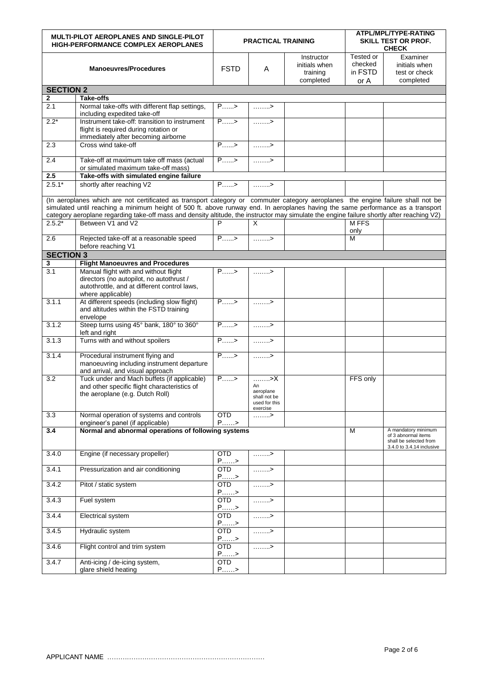|                  | <b>MULTI-PILOT AEROPLANES AND SINGLE-PILOT</b><br><b>HIGH-PERFORMANCE COMPLEX AEROPLANES</b>                                                                                                                                                                                                                                                                                                                                          | <b>PRACTICAL TRAINING</b>    |                                                                    | ATPL/MPL/TYPE-RATING<br>SKILL TEST OR PROF.<br><b>CHECK</b> |                                         |                                                                                                   |
|------------------|---------------------------------------------------------------------------------------------------------------------------------------------------------------------------------------------------------------------------------------------------------------------------------------------------------------------------------------------------------------------------------------------------------------------------------------|------------------------------|--------------------------------------------------------------------|-------------------------------------------------------------|-----------------------------------------|---------------------------------------------------------------------------------------------------|
|                  | <b>Manoeuvres/Procedures</b>                                                                                                                                                                                                                                                                                                                                                                                                          | <b>FSTD</b>                  | A                                                                  | Instructor<br>initials when<br>training<br>completed        | Tested or<br>checked<br>in FSTD<br>or A | Examiner<br>initials when<br>test or check<br>completed                                           |
| <b>SECTION 2</b> |                                                                                                                                                                                                                                                                                                                                                                                                                                       |                              |                                                                    |                                                             |                                         |                                                                                                   |
| $\mathbf{2}$     | <b>Take-offs</b>                                                                                                                                                                                                                                                                                                                                                                                                                      |                              |                                                                    |                                                             |                                         |                                                                                                   |
| 2.1              | Normal take-offs with different flap settings,<br>including expedited take-off                                                                                                                                                                                                                                                                                                                                                        | $\overline{P}$ >             | . >                                                                |                                                             |                                         |                                                                                                   |
| $2.2*$           | Instrument take-off: transition to instrument<br>flight is required during rotation or<br>immediately after becoming airborne                                                                                                                                                                                                                                                                                                         | $P_{\ldots}$                 | . >                                                                |                                                             |                                         |                                                                                                   |
| 2.3              | Cross wind take-off                                                                                                                                                                                                                                                                                                                                                                                                                   | $P_{\dots}$                  | $\ldots \ldots$ .>                                                 |                                                             |                                         |                                                                                                   |
| 2.4              | Take-off at maximum take off mass (actual<br>or simulated maximum take-off mass)                                                                                                                                                                                                                                                                                                                                                      | $P_{\ldots}$ >               | . >                                                                |                                                             |                                         |                                                                                                   |
| 2.5              | Take-offs with simulated engine failure                                                                                                                                                                                                                                                                                                                                                                                               |                              |                                                                    |                                                             |                                         |                                                                                                   |
| $2.5.1*$         | shortly after reaching V2                                                                                                                                                                                                                                                                                                                                                                                                             | $P_{\ldots}$                 | $\ldots \ldots$                                                    |                                                             |                                         |                                                                                                   |
| $2.5.2*$         | (In aeroplanes which are not certificated as transport category or commuter category aeroplanes the engine failure shall not be<br>simulated until reaching a minimum height of 500 ft. above runway end. In aeroplanes having the same performance as a transport<br>category aeroplane regarding take-off mass and density altitude, the instructor may simulate the engine failure shortly after reaching V2)<br>Between V1 and V2 | P                            | Χ                                                                  |                                                             | M FFS                                   |                                                                                                   |
| 2.6              | Rejected take-off at a reasonable speed                                                                                                                                                                                                                                                                                                                                                                                               | $P_{\dots}$                  | $\dots\dots \rightarrow$                                           |                                                             | only<br>М                               |                                                                                                   |
|                  | before reaching V1                                                                                                                                                                                                                                                                                                                                                                                                                    |                              |                                                                    |                                                             |                                         |                                                                                                   |
| <b>SECTION 3</b> |                                                                                                                                                                                                                                                                                                                                                                                                                                       |                              |                                                                    |                                                             |                                         |                                                                                                   |
| 3                | <b>Flight Manoeuvres and Procedures</b>                                                                                                                                                                                                                                                                                                                                                                                               |                              |                                                                    |                                                             |                                         |                                                                                                   |
| 3.1              | Manual flight with and without flight<br>directors (no autopilot, no autothrust /<br>autothrottle, and at different control laws,<br>where applicable)                                                                                                                                                                                                                                                                                | $\overline{P_{\dots}}$       | .>                                                                 |                                                             |                                         |                                                                                                   |
| 3.1.1            | At different speeds (including slow flight)<br>and altitudes within the FSTD training<br>envelope                                                                                                                                                                                                                                                                                                                                     | $P_{\dots}$                  | $\ldots \ldots$                                                    |                                                             |                                         |                                                                                                   |
| 3.1.2            | Steep turns using 45° bank, 180° to 360°<br>left and right                                                                                                                                                                                                                                                                                                                                                                            | $\overline{P}$               | . >                                                                |                                                             |                                         |                                                                                                   |
| 3.1.3            | Turns with and without spoilers                                                                                                                                                                                                                                                                                                                                                                                                       | $P_{}$                       | . >                                                                |                                                             |                                         |                                                                                                   |
| 3.1.4            | Procedural instrument flying and<br>manoeuvring including instrument departure<br>and arrival, and visual approach                                                                                                                                                                                                                                                                                                                    | $P_{\dots}$                  | . >                                                                |                                                             |                                         |                                                                                                   |
| 3.2              | Tuck under and Mach buffets (if applicable)<br>and other specific flight characteristics of<br>the aeroplane (e.g. Dutch Roll)                                                                                                                                                                                                                                                                                                        | $P$ >                        | >X<br>An<br>aeroplane<br>shall not be<br>used for this<br>exercise |                                                             | FFS only                                |                                                                                                   |
| 3.3              | Normal operation of systems and controls<br>engineer's panel (if applicable)                                                                                                                                                                                                                                                                                                                                                          | <b>OTD</b><br>$P_{\dots} >$  | . >                                                                |                                                             |                                         |                                                                                                   |
| 3.4              | Normal and abnormal operations of following systems                                                                                                                                                                                                                                                                                                                                                                                   |                              |                                                                    |                                                             | M                                       | A mandatory minimum<br>of 3 abnormal items<br>shall be selected from<br>3.4.0 to 3.4.14 inclusive |
| 3.4.0            | Engine (if necessary propeller)                                                                                                                                                                                                                                                                                                                                                                                                       | <b>OTD</b><br>$P_{\ldots} >$ | . >                                                                |                                                             |                                         |                                                                                                   |
| 3.4.1            | Pressurization and air conditioning                                                                                                                                                                                                                                                                                                                                                                                                   | OTD.<br>$P_{\ldots} >$       | . >                                                                |                                                             |                                         |                                                                                                   |
| 3.4.2            | Pitot / static system                                                                                                                                                                                                                                                                                                                                                                                                                 | OTD<br>$P_{\ldots}$ >        | . >                                                                |                                                             |                                         |                                                                                                   |
| 3.4.3            | Fuel system                                                                                                                                                                                                                                                                                                                                                                                                                           | <b>OTD</b><br>$P_{\dots} >$  | $\ldots \ldots$                                                    |                                                             |                                         |                                                                                                   |
| 3.4.4            | Electrical system                                                                                                                                                                                                                                                                                                                                                                                                                     | OTD<br>$P_{\dots} >$         | $\ldots \ldots$                                                    |                                                             |                                         |                                                                                                   |
| 3.4.5            | Hydraulic system                                                                                                                                                                                                                                                                                                                                                                                                                      | <b>OTD</b><br>$P_{\dots} >$  | . >                                                                |                                                             |                                         |                                                                                                   |
| 3.4.6            | Flight control and trim system                                                                                                                                                                                                                                                                                                                                                                                                        | <b>OTD</b>                   | . >                                                                |                                                             |                                         |                                                                                                   |
| 3.4.7            | Anti-icing / de-icing system,<br>glare shield heating                                                                                                                                                                                                                                                                                                                                                                                 | P><br>OTD<br>$P_{\dots} >$   |                                                                    |                                                             |                                         |                                                                                                   |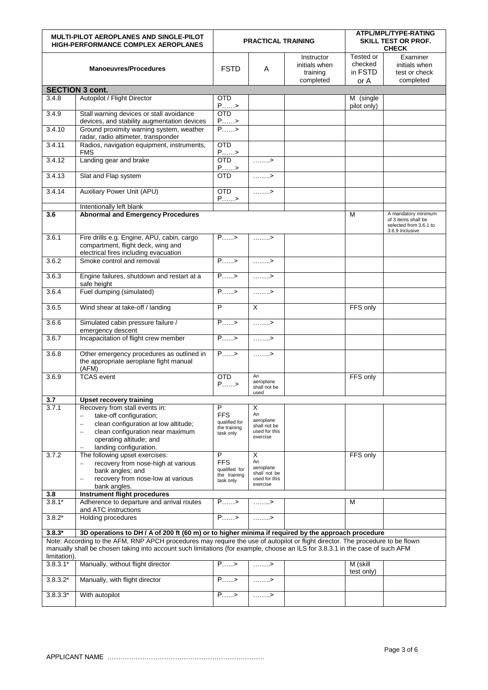|                                                                                                                                                                                                                                                  | MULTI-PILOT AEROPLANES AND SINGLE-PILOT<br><b>HIGH-PERFORMANCE COMPLEX AEROPLANES</b>                                         |                                                                                                                                                                                                                                                                                                                                                                                                                                                                         | <b>PRACTICAL TRAINING</b>               |                                                      |                                         | ATPL/MPL/TYPE-RATING<br>SKILL TEST OR PROF.<br><b>CHECK</b>                             |
|--------------------------------------------------------------------------------------------------------------------------------------------------------------------------------------------------------------------------------------------------|-------------------------------------------------------------------------------------------------------------------------------|-------------------------------------------------------------------------------------------------------------------------------------------------------------------------------------------------------------------------------------------------------------------------------------------------------------------------------------------------------------------------------------------------------------------------------------------------------------------------|-----------------------------------------|------------------------------------------------------|-----------------------------------------|-----------------------------------------------------------------------------------------|
|                                                                                                                                                                                                                                                  | <b>Manoeuvres/Procedures</b>                                                                                                  | <b>FSTD</b>                                                                                                                                                                                                                                                                                                                                                                                                                                                             | A                                       | Instructor<br>initials when<br>training<br>completed | Tested or<br>checked<br>in FSTD<br>or A | Examiner<br>initials when<br>test or check<br>completed                                 |
|                                                                                                                                                                                                                                                  | <b>SECTION 3 cont.</b>                                                                                                        |                                                                                                                                                                                                                                                                                                                                                                                                                                                                         |                                         |                                                      |                                         |                                                                                         |
| 3.4.8                                                                                                                                                                                                                                            | Autopilot / Flight Director                                                                                                   | <b>OTD</b><br>$P_{\ldots} >$                                                                                                                                                                                                                                                                                                                                                                                                                                            |                                         |                                                      | M (single<br>pilot only)                |                                                                                         |
| 3.4.9                                                                                                                                                                                                                                            | Stall warning devices or stall avoidance<br>devices, and stability augmentation devices                                       | <b>OTD</b><br>$\frac{P_{\dots n} > P_{\dots n} > P_{\dots n} > P_{\dots n} > P_{\dots n} > P_{\dots n} > P_{\dots n} > P_{\dots n} > P_{\dots n} > P_{\dots n} > P_{\dots n} > P_{\dots n} > P_{\dots n} > P_{\dots n} > P_{\dots n} > P_{\dots n} > P_{\dots n} > P_{\dots n} > P_{\dots n} > P_{\dots n} > P_{\dots n} > P_{\dots n} > P_{\dots n} > P_{\dots n} > P_{\dots n} > P_{\dots n} > P_{\dots n} > P_{\dots n} > P_{\dots n} > P_{\dots n} > P_{\dots n} >$ |                                         |                                                      |                                         |                                                                                         |
| 3.4.10                                                                                                                                                                                                                                           | Ground proximity warning system, weather<br>radar, radio altimeter, transponder                                               |                                                                                                                                                                                                                                                                                                                                                                                                                                                                         |                                         |                                                      |                                         |                                                                                         |
| 3.4.11                                                                                                                                                                                                                                           | Radios, navigation equipment, instruments,<br><b>FMS</b>                                                                      | <b>OTD</b><br>$P_{}>$                                                                                                                                                                                                                                                                                                                                                                                                                                                   |                                         |                                                      |                                         |                                                                                         |
| 3.4.12                                                                                                                                                                                                                                           | Landing gear and brake                                                                                                        | <b>OTD</b><br>$P_{\ldots} >$                                                                                                                                                                                                                                                                                                                                                                                                                                            | $\ldots \ldots >$                       |                                                      |                                         |                                                                                         |
| 3.4.13                                                                                                                                                                                                                                           | Slat and Flap system                                                                                                          | <b>OTD</b>                                                                                                                                                                                                                                                                                                                                                                                                                                                              | $\dots\dots \rightarrow$                |                                                      |                                         |                                                                                         |
| 3.4.14                                                                                                                                                                                                                                           | <b>Auxiliary Power Unit (APU)</b>                                                                                             | OTD<br>$P_{\ldots} >$                                                                                                                                                                                                                                                                                                                                                                                                                                                   | $\ldots \ldots$                         |                                                      |                                         |                                                                                         |
|                                                                                                                                                                                                                                                  | Intentionally left blank                                                                                                      |                                                                                                                                                                                                                                                                                                                                                                                                                                                                         |                                         |                                                      |                                         |                                                                                         |
| 3.6                                                                                                                                                                                                                                              | <b>Abnormal and Emergency Procedures</b>                                                                                      |                                                                                                                                                                                                                                                                                                                                                                                                                                                                         |                                         |                                                      | M                                       | A mandatory minimum<br>of 3 items shall be<br>selected from 3.6.1 to<br>3.6.9 Inclusive |
| 3.6.1                                                                                                                                                                                                                                            | Fire drills e.g. Engine, APU, cabin, cargo<br>compartment, flight deck, wing and<br>electrical fires including evacuation     | $\overline{P_{\dots}}$                                                                                                                                                                                                                                                                                                                                                                                                                                                  | $\ldots \ldots >$                       |                                                      |                                         |                                                                                         |
| 3.6.2                                                                                                                                                                                                                                            | Smoke control and removal                                                                                                     | $P_{}$                                                                                                                                                                                                                                                                                                                                                                                                                                                                  | 1.1.1.1.7                               |                                                      |                                         |                                                                                         |
| 3.6.3                                                                                                                                                                                                                                            | Engine failures, shutdown and restart at a<br>safe height                                                                     | $P_{\dots}$                                                                                                                                                                                                                                                                                                                                                                                                                                                             | . >                                     |                                                      |                                         |                                                                                         |
| 3.6.4                                                                                                                                                                                                                                            | Fuel dumping (simulated)                                                                                                      | $P_{\dots}$                                                                                                                                                                                                                                                                                                                                                                                                                                                             | . >                                     |                                                      |                                         |                                                                                         |
| 3.6.5                                                                                                                                                                                                                                            | Wind shear at take-off / landing                                                                                              | $\overline{P}$                                                                                                                                                                                                                                                                                                                                                                                                                                                          | X                                       |                                                      | FFS only                                |                                                                                         |
| 3.6.6                                                                                                                                                                                                                                            | Simulated cabin pressure failure /<br>emergency descent                                                                       | $P_{\dots}$                                                                                                                                                                                                                                                                                                                                                                                                                                                             | . >                                     |                                                      |                                         |                                                                                         |
| 3.6.7                                                                                                                                                                                                                                            | Incapacitation of flight crew member                                                                                          | $P_{\ldots}$ >                                                                                                                                                                                                                                                                                                                                                                                                                                                          | $\ldots \ldots >$                       |                                                      |                                         |                                                                                         |
| 3.6.8                                                                                                                                                                                                                                            | Other emergency procedures as outlined in<br>the appropriate aeroplane fight manual<br>(AFM)                                  | $P_{1},,P_{n}$                                                                                                                                                                                                                                                                                                                                                                                                                                                          | $\ldots \ldots$                         |                                                      |                                         |                                                                                         |
| 3.6.9                                                                                                                                                                                                                                            | <b>TCAS</b> event                                                                                                             | <b>OTD</b><br>$P_{}>$                                                                                                                                                                                                                                                                                                                                                                                                                                                   | An<br>aeroplane<br>shall not be<br>used |                                                      | FFS only                                |                                                                                         |
| 3.7                                                                                                                                                                                                                                              | <b>Upset recovery training</b>                                                                                                |                                                                                                                                                                                                                                                                                                                                                                                                                                                                         |                                         |                                                      |                                         |                                                                                         |
| 3.7.1                                                                                                                                                                                                                                            | Recovery from stall events in:                                                                                                | P                                                                                                                                                                                                                                                                                                                                                                                                                                                                       | Х                                       |                                                      |                                         |                                                                                         |
|                                                                                                                                                                                                                                                  | take-off configuration;                                                                                                       | <b>FFS</b><br>qualified for                                                                                                                                                                                                                                                                                                                                                                                                                                             | An<br>aeroplane                         |                                                      |                                         |                                                                                         |
|                                                                                                                                                                                                                                                  | clean configuration at low altitude;<br>÷                                                                                     | the training                                                                                                                                                                                                                                                                                                                                                                                                                                                            | shall not be                            |                                                      |                                         |                                                                                         |
|                                                                                                                                                                                                                                                  | clean configuration near maximum<br>$\overline{\phantom{0}}$<br>operating altitude; and                                       | task only                                                                                                                                                                                                                                                                                                                                                                                                                                                               | used for this<br>exercise               |                                                      |                                         |                                                                                         |
|                                                                                                                                                                                                                                                  | landing configuration.                                                                                                        |                                                                                                                                                                                                                                                                                                                                                                                                                                                                         |                                         |                                                      |                                         |                                                                                         |
| 3.7.2                                                                                                                                                                                                                                            | The following upset exercises:                                                                                                | $\overline{P}$                                                                                                                                                                                                                                                                                                                                                                                                                                                          | X                                       |                                                      | FFS only                                |                                                                                         |
|                                                                                                                                                                                                                                                  | recovery from nose-high at various                                                                                            | <b>FFS</b>                                                                                                                                                                                                                                                                                                                                                                                                                                                              | An                                      |                                                      |                                         |                                                                                         |
|                                                                                                                                                                                                                                                  | bank angles; and                                                                                                              | qualified for<br>the training                                                                                                                                                                                                                                                                                                                                                                                                                                           | aeroplane<br>shall not be               |                                                      |                                         |                                                                                         |
|                                                                                                                                                                                                                                                  | recovery from nose-low at various                                                                                             | task only                                                                                                                                                                                                                                                                                                                                                                                                                                                               | used for this<br>exercise               |                                                      |                                         |                                                                                         |
| 3.8                                                                                                                                                                                                                                              | bank angles.<br>Instrument flight procedures                                                                                  |                                                                                                                                                                                                                                                                                                                                                                                                                                                                         |                                         |                                                      |                                         |                                                                                         |
| $3.8.1*$                                                                                                                                                                                                                                         | Adherence to departure and arrival routes                                                                                     | $P_{\ldots}$ >                                                                                                                                                                                                                                                                                                                                                                                                                                                          | . >                                     |                                                      | М                                       |                                                                                         |
| $3.8.2*$                                                                                                                                                                                                                                         | and ATC instructions<br>Holding procedures                                                                                    | $P_{\ldots}$ >                                                                                                                                                                                                                                                                                                                                                                                                                                                          | . >                                     |                                                      |                                         |                                                                                         |
|                                                                                                                                                                                                                                                  |                                                                                                                               |                                                                                                                                                                                                                                                                                                                                                                                                                                                                         |                                         |                                                      |                                         |                                                                                         |
| $3.8.3*$<br>3D operations to DH / A of 200 ft (60 m) or to higher minima if required by the approach procedure<br>Note: According to the AFM, RNP APCH procedures may require the use of autopilot or flight director. The procedure to be flown |                                                                                                                               |                                                                                                                                                                                                                                                                                                                                                                                                                                                                         |                                         |                                                      |                                         |                                                                                         |
| limitation).                                                                                                                                                                                                                                     | manually shall be chosen taking into account such limitations (for example, choose an ILS for 3.8.3.1 in the case of such AFM |                                                                                                                                                                                                                                                                                                                                                                                                                                                                         |                                         |                                                      |                                         |                                                                                         |
| $3.8.3.1*$                                                                                                                                                                                                                                       | Manually, without flight director                                                                                             | $P_{\ldots}$                                                                                                                                                                                                                                                                                                                                                                                                                                                            | . >                                     |                                                      | M (skill<br>test only)                  |                                                                                         |
| $3.8.3.2*$                                                                                                                                                                                                                                       | Manually, with flight director                                                                                                | $P_{\dots}$                                                                                                                                                                                                                                                                                                                                                                                                                                                             | . >                                     |                                                      |                                         |                                                                                         |
| $3.8.3.3*$                                                                                                                                                                                                                                       | With autopilot                                                                                                                | $P_{\ldots} >$                                                                                                                                                                                                                                                                                                                                                                                                                                                          | . >                                     |                                                      |                                         |                                                                                         |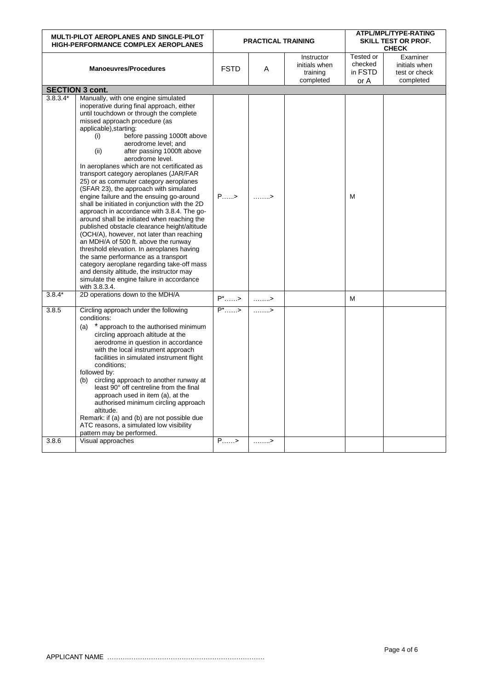| <b>MULTI-PILOT AEROPLANES AND SINGLE-PILOT</b><br><b>HIGH-PERFORMANCE COMPLEX AEROPLANES</b> |                                                                                                                                                                                                                                                                                                                                                                                                                                                                                                                                                                                                                                                                                                                                                                                                                                                                                                                                                                                                                                                                        |                     | ATPL/MPL/TYPE-RATING<br><b>PRACTICAL TRAINING</b><br>SKILL TEST OR PROF.<br><b>CHECK</b> |                                                      |                                         |                                                         |
|----------------------------------------------------------------------------------------------|------------------------------------------------------------------------------------------------------------------------------------------------------------------------------------------------------------------------------------------------------------------------------------------------------------------------------------------------------------------------------------------------------------------------------------------------------------------------------------------------------------------------------------------------------------------------------------------------------------------------------------------------------------------------------------------------------------------------------------------------------------------------------------------------------------------------------------------------------------------------------------------------------------------------------------------------------------------------------------------------------------------------------------------------------------------------|---------------------|------------------------------------------------------------------------------------------|------------------------------------------------------|-----------------------------------------|---------------------------------------------------------|
|                                                                                              | <b>Manoeuvres/Procedures</b>                                                                                                                                                                                                                                                                                                                                                                                                                                                                                                                                                                                                                                                                                                                                                                                                                                                                                                                                                                                                                                           | <b>FSTD</b>         | A                                                                                        | Instructor<br>initials when<br>training<br>completed | Tested or<br>checked<br>in FSTD<br>or A | Examiner<br>initials when<br>test or check<br>completed |
|                                                                                              | <b>SECTION 3 cont.</b>                                                                                                                                                                                                                                                                                                                                                                                                                                                                                                                                                                                                                                                                                                                                                                                                                                                                                                                                                                                                                                                 |                     |                                                                                          |                                                      |                                         |                                                         |
| $3.8.3.4*$                                                                                   | Manually, with one engine simulated<br>inoperative during final approach, either<br>until touchdown or through the complete<br>missed approach procedure (as<br>applicable), starting:<br>before passing 1000ft above<br>(i)<br>aerodrome level; and<br>(ii)<br>after passing 1000ft above<br>aerodrome level.<br>In aeroplanes which are not certificated as<br>transport category aeroplanes (JAR/FAR<br>25) or as commuter category aeroplanes<br>(SFAR 23), the approach with simulated<br>engine failure and the ensuing go-around<br>shall be initiated in conjunction with the 2D<br>approach in accordance with 3.8.4. The go-<br>around shall be initiated when reaching the<br>published obstacle clearance height/altitude<br>(OCH/A), however, not later than reaching<br>an MDH/A of 500 ft. above the runway<br>threshold elevation. In aeroplanes having<br>the same performance as a transport<br>category aeroplane regarding take-off mass<br>and density altitude, the instructor may<br>simulate the engine failure in accordance<br>with 3.8.3.4. | $P_{\dots}$         | . >                                                                                      |                                                      | M                                       |                                                         |
| $3.8.4*$                                                                                     | 2D operations down to the MDH/A                                                                                                                                                                                                                                                                                                                                                                                                                                                                                                                                                                                                                                                                                                                                                                                                                                                                                                                                                                                                                                        | $P^*$ >             | $\dots\dots \rightarrow$                                                                 |                                                      | M                                       |                                                         |
| 3.8.5                                                                                        | Circling approach under the following<br>conditions:<br>(a) * approach to the authorised minimum<br>circling approach altitude at the<br>aerodrome in question in accordance<br>with the local instrument approach<br>facilities in simulated instrument flight<br>conditions:<br>followed by:<br>(b) circling approach to another runway at<br>least 90° off centreline from the final<br>approach used in item (a), at the<br>authorised minimum circling approach<br>altitude.<br>Remark: if (a) and (b) are not possible due<br>ATC reasons, a simulated low visibility<br>pattern may be performed.                                                                                                                                                                                                                                                                                                                                                                                                                                                               | $P^*$ $\rightarrow$ | $\ldots \ldots$                                                                          |                                                      |                                         |                                                         |
| 3.8.6                                                                                        | Visual approaches                                                                                                                                                                                                                                                                                                                                                                                                                                                                                                                                                                                                                                                                                                                                                                                                                                                                                                                                                                                                                                                      | $P_{}$              | . >                                                                                      |                                                      |                                         |                                                         |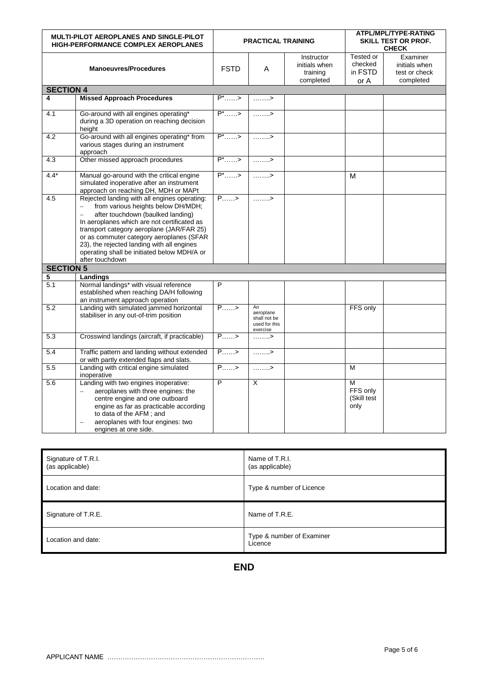| MULTI-PILOT AEROPLANES AND SINGLE-PILOT<br><b>HIGH-PERFORMANCE COMPLEX AEROPLANES</b> |                                                                                                                                                                                                                                                                                                                                                                                        | ATPL/MPL/TYPE-RATING<br>SKILL TEST OR PROF.<br><b>PRACTICAL TRAINING</b><br><b>CHECK</b> |                                                              |                                                      |                                         |                                                         |
|---------------------------------------------------------------------------------------|----------------------------------------------------------------------------------------------------------------------------------------------------------------------------------------------------------------------------------------------------------------------------------------------------------------------------------------------------------------------------------------|------------------------------------------------------------------------------------------|--------------------------------------------------------------|------------------------------------------------------|-----------------------------------------|---------------------------------------------------------|
|                                                                                       | <b>Manoeuvres/Procedures</b>                                                                                                                                                                                                                                                                                                                                                           | <b>FSTD</b>                                                                              | A                                                            | Instructor<br>initials when<br>training<br>completed | Tested or<br>checked<br>in FSTD<br>or A | Examiner<br>initials when<br>test or check<br>completed |
| <b>SECTION 4</b>                                                                      |                                                                                                                                                                                                                                                                                                                                                                                        |                                                                                          |                                                              |                                                      |                                         |                                                         |
| 4                                                                                     | <b>Missed Approach Procedures</b>                                                                                                                                                                                                                                                                                                                                                      | $P^*$ >                                                                                  | . >                                                          |                                                      |                                         |                                                         |
| 4.1                                                                                   | Go-around with all engines operating*<br>during a 3D operation on reaching decision<br>height                                                                                                                                                                                                                                                                                          | $P^*$ >                                                                                  | . >                                                          |                                                      |                                         |                                                         |
| 4.2                                                                                   | Go-around with all engines operating* from<br>various stages during an instrument<br>approach                                                                                                                                                                                                                                                                                          | $P^*$ >                                                                                  | $\ldots \ldots$ >                                            |                                                      |                                         |                                                         |
| 4.3                                                                                   | Other missed approach procedures                                                                                                                                                                                                                                                                                                                                                       | $P^*$ >                                                                                  | $\ldots \ldots$ >                                            |                                                      |                                         |                                                         |
| $4.4*$                                                                                | Manual go-around with the critical engine<br>simulated inoperative after an instrument<br>approach on reaching DH, MDH or MAPt                                                                                                                                                                                                                                                         | $P^*$ >                                                                                  | . >                                                          |                                                      | $\overline{\mathsf{M}}$                 |                                                         |
| 4.5                                                                                   | Rejected landing with all engines operating:<br>from various heights below DH/MDH;<br>$=$<br>after touchdown (baulked landing)<br>In aeroplanes which are not certificated as<br>transport category aeroplane (JAR/FAR 25)<br>or as commuter category aeroplanes (SFAR<br>23), the rejected landing with all engines<br>operating shall be initiated below MDH/A or<br>after touchdown | $P_{\ldots}$ >                                                                           | $\ldots \ldots$                                              |                                                      |                                         |                                                         |
| <b>SECTION 5</b>                                                                      |                                                                                                                                                                                                                                                                                                                                                                                        |                                                                                          |                                                              |                                                      |                                         |                                                         |
| 5                                                                                     | Landings                                                                                                                                                                                                                                                                                                                                                                               |                                                                                          |                                                              |                                                      |                                         |                                                         |
| 5.1                                                                                   | Normal landings* with visual reference<br>established when reaching DA/H following<br>an instrument approach operation                                                                                                                                                                                                                                                                 | P                                                                                        |                                                              |                                                      |                                         |                                                         |
| 5.2                                                                                   | Landing with simulated jammed horizontal<br>stabiliser in any out-of-trim position                                                                                                                                                                                                                                                                                                     | $P_{}$                                                                                   | An<br>aeroplane<br>shall not be<br>used for this<br>exercise |                                                      | FFS only                                |                                                         |
| 5.3                                                                                   | Crosswind landings (aircraft, if practicable)                                                                                                                                                                                                                                                                                                                                          | $P_{1}, P_{2}$                                                                           | . >                                                          |                                                      |                                         |                                                         |
| 5.4                                                                                   | Traffic pattern and landing without extended<br>or with partly extended flaps and slats.                                                                                                                                                                                                                                                                                               | $P_{}$                                                                                   | $\ldots \ldots$ >                                            |                                                      |                                         |                                                         |
| 5.5                                                                                   | Landing with critical engine simulated<br>inoperative                                                                                                                                                                                                                                                                                                                                  | $P_{}>$                                                                                  | $\ldots \ldots$ >                                            |                                                      | M                                       |                                                         |
| 5.6                                                                                   | Landing with two engines inoperative:<br>aeroplanes with three engines: the<br>$=$<br>centre engine and one outboard<br>engine as far as practicable according<br>to data of the AFM; and<br>aeroplanes with four engines: two<br>engines at one side.                                                                                                                                 | $\overline{P}$                                                                           | X                                                            |                                                      | M<br>FFS only<br>(Skill test<br>only    |                                                         |

| Signature of T.R.I.<br>(as applicable) | Name of T.R.I.<br>(as applicable)    |
|----------------------------------------|--------------------------------------|
| Location and date:                     | Type & number of Licence             |
| Signature of T.R.E.                    | Name of T.R.E.                       |
| Location and date:                     | Type & number of Examiner<br>Licence |

**END**